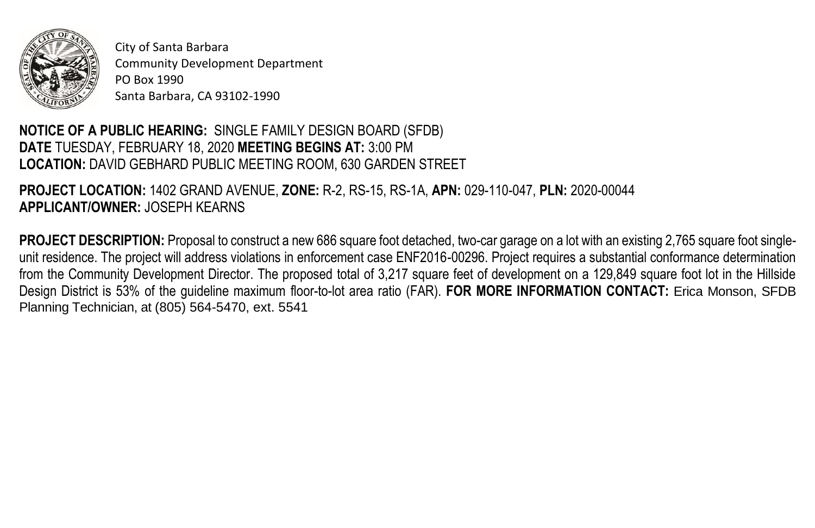

City of Santa Barbara Community Development Department PO Box 1990 Santa Barbara, CA 93102-1990

## **NOTICE OF A PUBLIC HEARING:** SINGLE FAMILY DESIGN BOARD (SFDB) **DATE** TUESDAY, FEBRUARY 18, 2020 **MEETING BEGINS AT:** 3:00 PM LOCATION: DAVID GEBHARD PUBLIC MEETING ROOM, 630 GARDEN STREET

**PROJECT LOCATION:** 1402 GRAND AVENUE, **ZONE:** R-2, RS-15, RS-1A, **APN:** 029-110-047, **PLN:** 2020-00044 **APPLICANT/OWNER:** JOSEPH KEARNS

**PROJECT DESCRIPTION:** Proposal to construct a new 686 square foot detached, two-car garage on a lot with an existing 2,765 square foot singleunit residence. The project will address violations in enforcement case ENF2016-00296. Project requires a substantial conformance determination from the Community Development Director. The proposed total of 3,217 square feet of development on a 129,849 square foot lot in the Hillside Design District is 53% of the guideline maximum floor-to-lot area ratio (FAR). **FOR MORE INFORMATION CONTACT:** Erica Monson, SFDB Planning Technician, at (805) 564-5470, ext. 5541